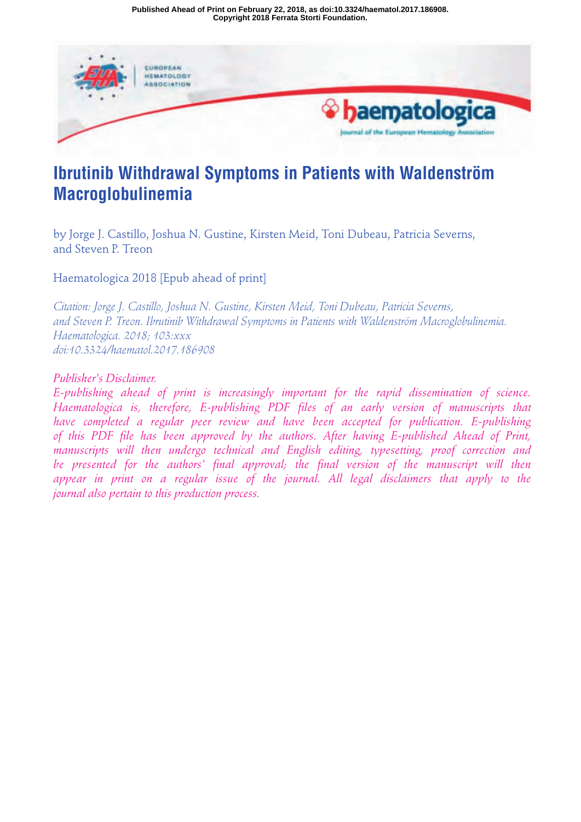**Copyright 2018 Ferrata Storti Foundation. Published Ahead of Print on February 22, 2018, as doi:10.3324/haematol.2017.186908.**



# **Ibrutinib Withdrawal Symptoms in Patients with Waldenström Macroglobulinemia**

by Jorge J. Castillo, Joshua N. Gustine, Kirsten Meid, Toni Dubeau, Patricia Severns, and Steven P. Treon

Haematologica 2018 [Epub ahead of print]

*Citation: Jorge J. Castillo, Joshua N. Gustine, Kirsten Meid, Toni Dubeau, Patricia Severns, and Steven P. Treon. Ibrutinib Withdrawal Symptoms in Patients with Waldenström Macroglobulinemia. Haematologica. 2018; 103:xxx doi:10.3324/haematol.2017.186908*

*Publisher's Disclaimer.*

*E-publishing ahead of print is increasingly important for the rapid dissemination of science. Haematologica is, therefore, E-publishing PDF files of an early version of manuscripts that have completed a regular peer review and have been accepted for publication. E-publishing of this PDF file has been approved by the authors. After having E-published Ahead of Print, manuscripts will then undergo technical and English editing, typesetting, proof correction and be presented for the authors' final approval; the final version of the manuscript will then appear in print on a regular issue of the journal. All legal disclaimers that apply to the journal also pertain to this production process.*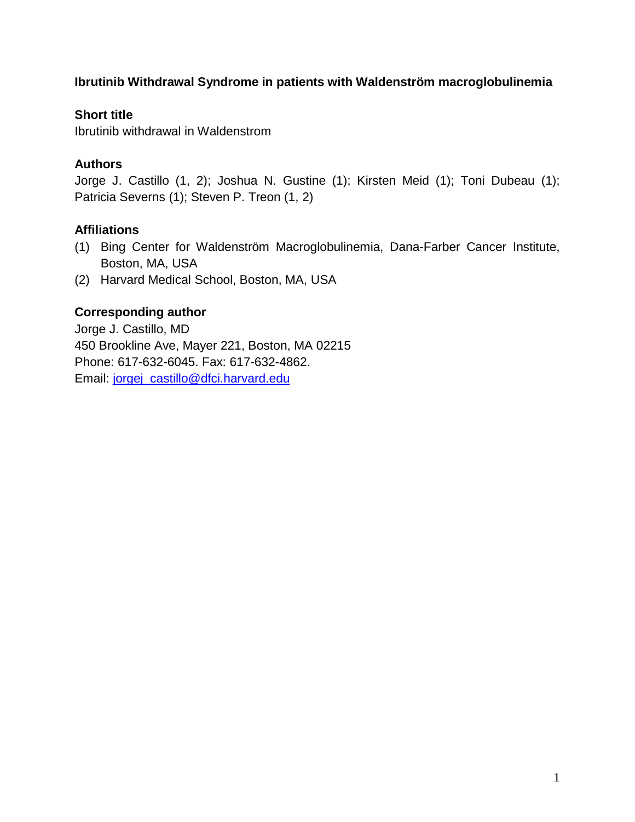# **Ibrutinib Withdrawal Syndrome in patients with Waldenström macroglobulinemia**

# **Short title**

Ibrutinib withdrawal in Waldenstrom

## **Authors**

Jorge J. Castillo (1, 2); Joshua N. Gustine (1); Kirsten Meid (1); Toni Dubeau (1); Patricia Severns (1); Steven P. Treon (1, 2)

## **Affiliations**

- (1) Bing Center for Waldenström Macroglobulinemia, Dana-Farber Cancer Institute, Boston, MA, USA
- (2) Harvard Medical School, Boston, MA, USA

# **Corresponding author**

Jorge J. Castillo, MD 450 Brookline Ave, Mayer 221, Boston, MA 02215 Phone: 617-632-6045. Fax: 617-632-4862. Email: jorgej\_castillo@dfci.harvard.edu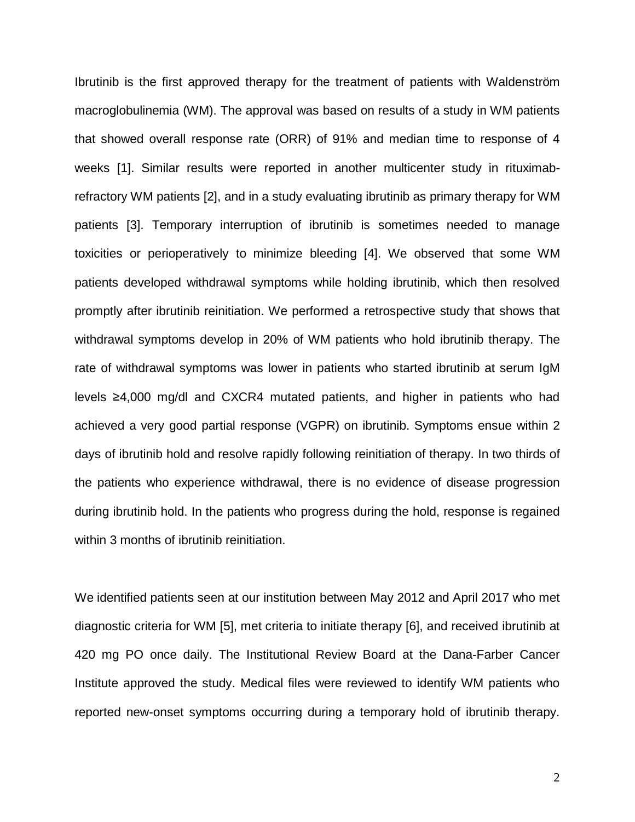Ibrutinib is the first approved therapy for the treatment of patients with Waldenström macroglobulinemia (WM). The approval was based on results of a study in WM patients that showed overall response rate (ORR) of 91% and median time to response of 4 weeks [1]. Similar results were reported in another multicenter study in rituximabrefractory WM patients [2], and in a study evaluating ibrutinib as primary therapy for WM patients [3]. Temporary interruption of ibrutinib is sometimes needed to manage toxicities or perioperatively to minimize bleeding [4]. We observed that some WM patients developed withdrawal symptoms while holding ibrutinib, which then resolved promptly after ibrutinib reinitiation. We performed a retrospective study that shows that withdrawal symptoms develop in 20% of WM patients who hold ibrutinib therapy. The rate of withdrawal symptoms was lower in patients who started ibrutinib at serum IgM levels ≥4,000 mg/dl and CXCR4 mutated patients, and higher in patients who had achieved a very good partial response (VGPR) on ibrutinib. Symptoms ensue within 2 days of ibrutinib hold and resolve rapidly following reinitiation of therapy. In two thirds of the patients who experience withdrawal, there is no evidence of disease progression during ibrutinib hold. In the patients who progress during the hold, response is regained within 3 months of ibrutinib reinitiation.

We identified patients seen at our institution between May 2012 and April 2017 who met diagnostic criteria for WM [5], met criteria to initiate therapy [6], and received ibrutinib at 420 mg PO once daily. The Institutional Review Board at the Dana-Farber Cancer Institute approved the study. Medical files were reviewed to identify WM patients who reported new-onset symptoms occurring during a temporary hold of ibrutinib therapy.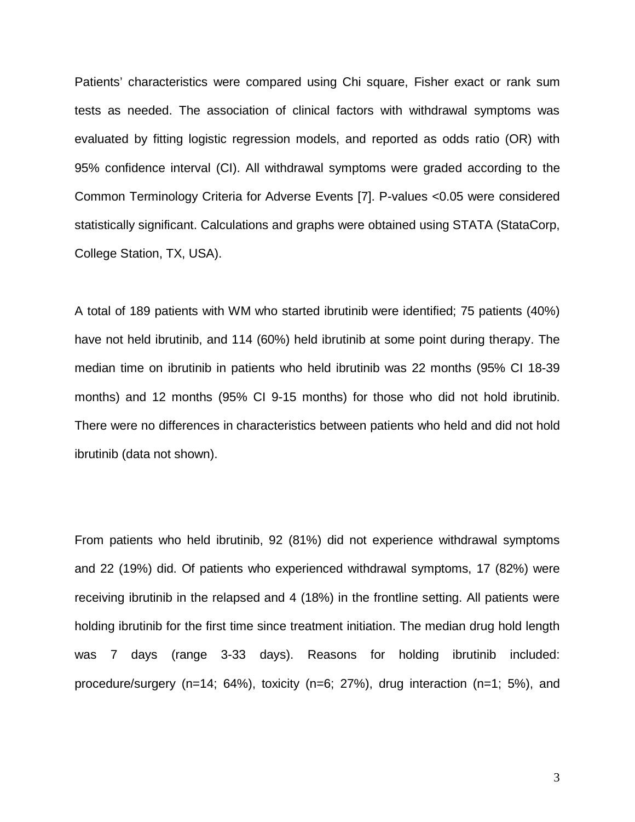Patients' characteristics were compared using Chi square, Fisher exact or rank sum tests as needed. The association of clinical factors with withdrawal symptoms was evaluated by fitting logistic regression models, and reported as odds ratio (OR) with 95% confidence interval (CI). All withdrawal symptoms were graded according to the Common Terminology Criteria for Adverse Events [7]. P-values <0.05 were considered statistically significant. Calculations and graphs were obtained using STATA (StataCorp, College Station, TX, USA).

A total of 189 patients with WM who started ibrutinib were identified; 75 patients (40%) have not held ibrutinib, and 114 (60%) held ibrutinib at some point during therapy. The median time on ibrutinib in patients who held ibrutinib was 22 months (95% CI 18-39 months) and 12 months (95% CI 9-15 months) for those who did not hold ibrutinib. There were no differences in characteristics between patients who held and did not hold ibrutinib (data not shown).

From patients who held ibrutinib, 92 (81%) did not experience withdrawal symptoms and 22 (19%) did. Of patients who experienced withdrawal symptoms, 17 (82%) were receiving ibrutinib in the relapsed and 4 (18%) in the frontline setting. All patients were holding ibrutinib for the first time since treatment initiation. The median drug hold length was 7 days (range 3-33 days). Reasons for holding ibrutinib included: procedure/surgery (n=14; 64%), toxicity (n=6; 27%), drug interaction (n=1; 5%), and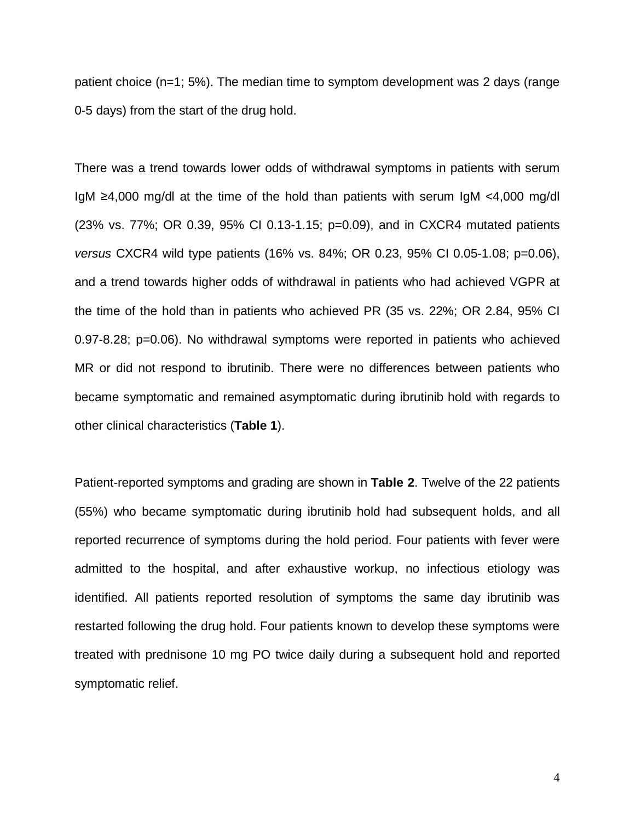patient choice (n=1; 5%). The median time to symptom development was 2 days (range 0-5 days) from the start of the drug hold.

There was a trend towards lower odds of withdrawal symptoms in patients with serum IgM ≥4,000 mg/dl at the time of the hold than patients with serum IgM <4,000 mg/dl (23% vs. 77%; OR 0.39, 95% CI 0.13-1.15; p=0.09), and in CXCR4 mutated patients *versus* CXCR4 wild type patients (16% vs. 84%; OR 0.23, 95% CI 0.05-1.08; p=0.06), and a trend towards higher odds of withdrawal in patients who had achieved VGPR at the time of the hold than in patients who achieved PR (35 vs. 22%; OR 2.84, 95% CI 0.97-8.28; p=0.06). No withdrawal symptoms were reported in patients who achieved MR or did not respond to ibrutinib. There were no differences between patients who became symptomatic and remained asymptomatic during ibrutinib hold with regards to other clinical characteristics (**Table 1**).

Patient-reported symptoms and grading are shown in **Table 2**. Twelve of the 22 patients (55%) who became symptomatic during ibrutinib hold had subsequent holds, and all reported recurrence of symptoms during the hold period. Four patients with fever were admitted to the hospital, and after exhaustive workup, no infectious etiology was identified. All patients reported resolution of symptoms the same day ibrutinib was restarted following the drug hold. Four patients known to develop these symptoms were treated with prednisone 10 mg PO twice daily during a subsequent hold and reported symptomatic relief.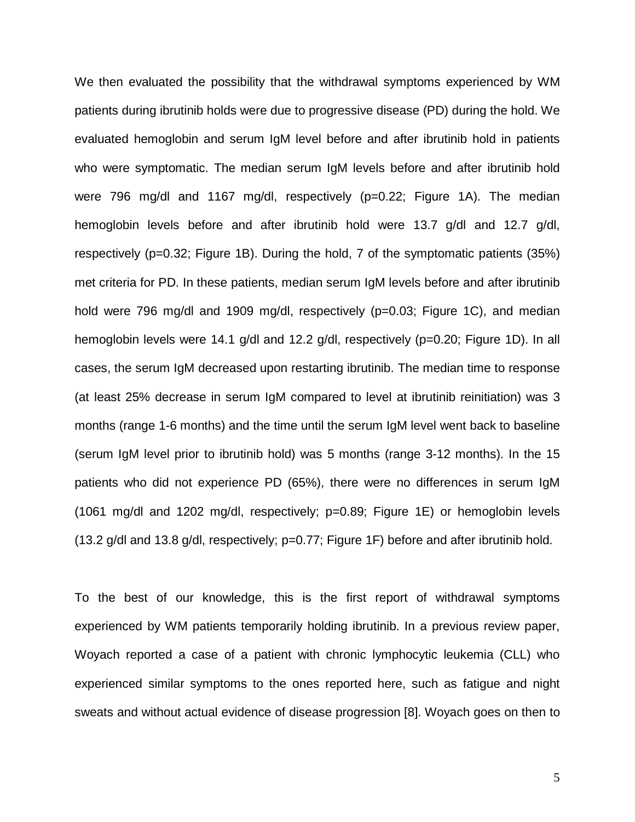We then evaluated the possibility that the withdrawal symptoms experienced by WM patients during ibrutinib holds were due to progressive disease (PD) during the hold. We evaluated hemoglobin and serum IgM level before and after ibrutinib hold in patients who were symptomatic. The median serum IgM levels before and after ibrutinib hold were 796 mg/dl and 1167 mg/dl, respectively (p=0.22; Figure 1A). The median hemoglobin levels before and after ibrutinib hold were 13.7 g/dl and 12.7 g/dl, respectively (p=0.32; Figure 1B). During the hold, 7 of the symptomatic patients (35%) met criteria for PD. In these patients, median serum IgM levels before and after ibrutinib hold were 796 mg/dl and 1909 mg/dl, respectively (p=0.03; Figure 1C), and median hemoglobin levels were 14.1 g/dl and 12.2 g/dl, respectively (p=0.20; Figure 1D). In all cases, the serum IgM decreased upon restarting ibrutinib. The median time to response (at least 25% decrease in serum IgM compared to level at ibrutinib reinitiation) was 3 months (range 1-6 months) and the time until the serum IgM level went back to baseline (serum IgM level prior to ibrutinib hold) was 5 months (range 3-12 months). In the 15 patients who did not experience PD (65%), there were no differences in serum IgM (1061 mg/dl and 1202 mg/dl, respectively; p=0.89; Figure 1E) or hemoglobin levels (13.2 g/dl and 13.8 g/dl, respectively; p=0.77; Figure 1F) before and after ibrutinib hold.

To the best of our knowledge, this is the first report of withdrawal symptoms experienced by WM patients temporarily holding ibrutinib. In a previous review paper, Woyach reported a case of a patient with chronic lymphocytic leukemia (CLL) who experienced similar symptoms to the ones reported here, such as fatigue and night sweats and without actual evidence of disease progression [8]. Woyach goes on then to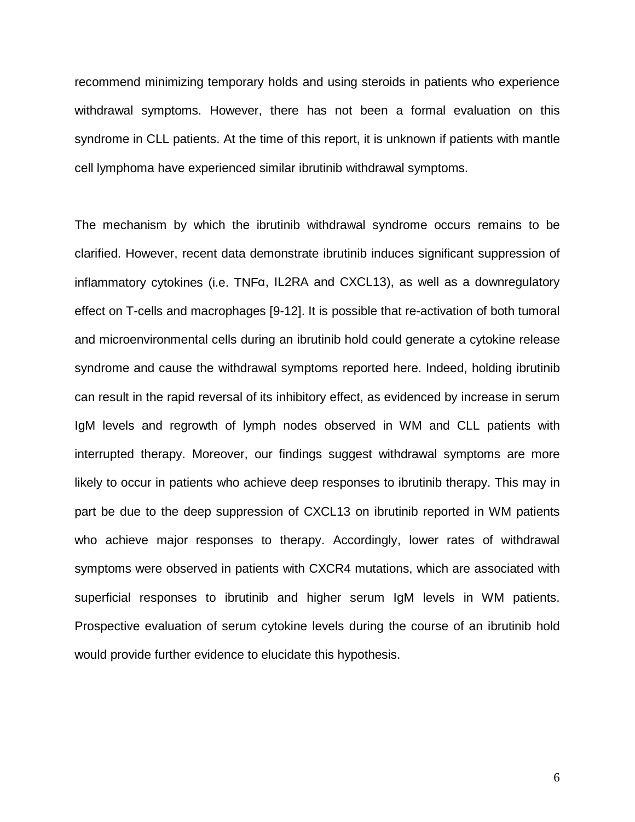recommend minimizing temporary holds and using steroids in patients who experience withdrawal symptoms. However, there has not been a formal evaluation on this syndrome in CLL patients. At the time of this report, it is unknown if patients with mantle cell lymphoma have experienced similar ibrutinib withdrawal symptoms.

The mechanism by which the ibrutinib withdrawal syndrome occurs remains to be clarified. However, recent data demonstrate ibrutinib induces significant suppression of inflammatory cytokines (i.e. TNFα, IL2RA and CXCL13), as well as a downregulatory effect on T-cells and macrophages [9-12]. It is possible that re-activation of both tumoral and microenvironmental cells during an ibrutinib hold could generate a cytokine release syndrome and cause the withdrawal symptoms reported here. Indeed, holding ibrutinib can result in the rapid reversal of its inhibitory effect, as evidenced by increase in serum IgM levels and regrowth of lymph nodes observed in WM and CLL patients with interrupted therapy. Moreover, our findings suggest withdrawal symptoms are more likely to occur in patients who achieve deep responses to ibrutinib therapy. This may in part be due to the deep suppression of CXCL13 on ibrutinib reported in WM patients who achieve major responses to therapy. Accordingly, lower rates of withdrawal symptoms were observed in patients with CXCR4 mutations, which are associated with superficial responses to ibrutinib and higher serum IgM levels in WM patients. Prospective evaluation of serum cytokine levels during the course of an ibrutinib hold would provide further evidence to elucidate this hypothesis.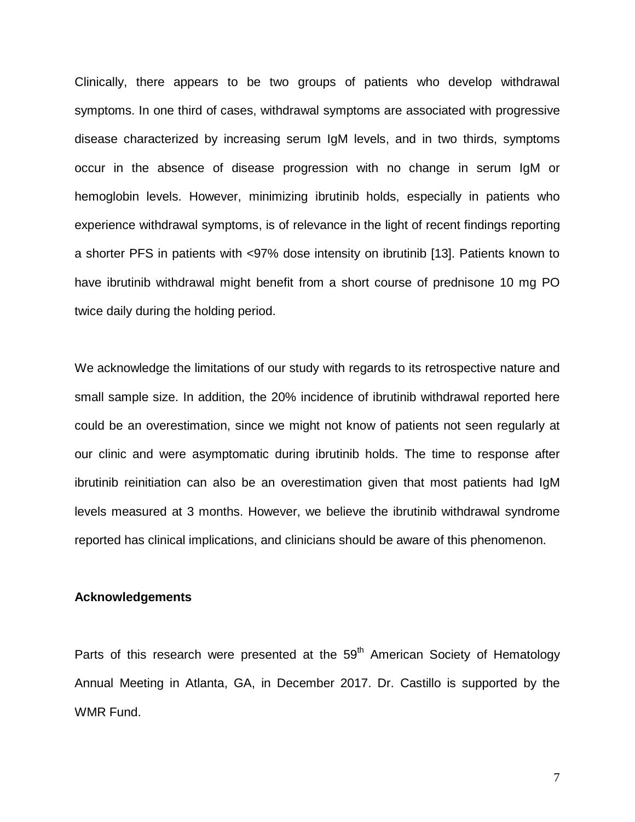Clinically, there appears to be two groups of patients who develop withdrawal symptoms. In one third of cases, withdrawal symptoms are associated with progressive disease characterized by increasing serum IgM levels, and in two thirds, symptoms occur in the absence of disease progression with no change in serum IgM or hemoglobin levels. However, minimizing ibrutinib holds, especially in patients who experience withdrawal symptoms, is of relevance in the light of recent findings reporting a shorter PFS in patients with <97% dose intensity on ibrutinib [13]. Patients known to have ibrutinib withdrawal might benefit from a short course of prednisone 10 mg PO twice daily during the holding period.

We acknowledge the limitations of our study with regards to its retrospective nature and small sample size. In addition, the 20% incidence of ibrutinib withdrawal reported here could be an overestimation, since we might not know of patients not seen regularly at our clinic and were asymptomatic during ibrutinib holds. The time to response after ibrutinib reinitiation can also be an overestimation given that most patients had IgM levels measured at 3 months. However, we believe the ibrutinib withdrawal syndrome reported has clinical implications, and clinicians should be aware of this phenomenon.

#### **Acknowledgements**

Parts of this research were presented at the  $59<sup>th</sup>$  American Society of Hematology Annual Meeting in Atlanta, GA, in December 2017. Dr. Castillo is supported by the WMR Fund.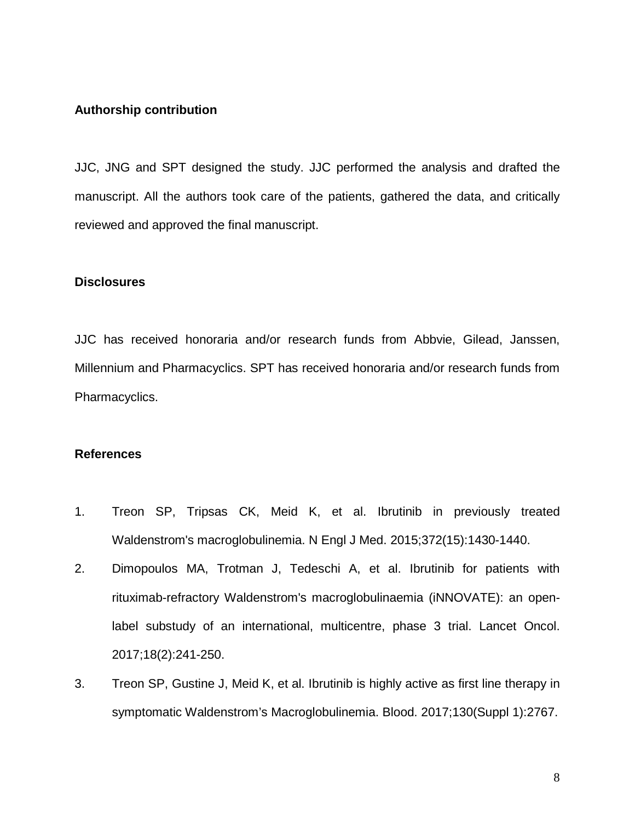## **Authorship contribution**

JJC, JNG and SPT designed the study. JJC performed the analysis and drafted the manuscript. All the authors took care of the patients, gathered the data, and critically reviewed and approved the final manuscript.

## **Disclosures**

JJC has received honoraria and/or research funds from Abbvie, Gilead, Janssen, Millennium and Pharmacyclics. SPT has received honoraria and/or research funds from Pharmacyclics.

## **References**

- 1. Treon SP, Tripsas CK, Meid K, et al. Ibrutinib in previously treated Waldenstrom's macroglobulinemia. N Engl J Med. 2015;372(15):1430-1440.
- 2. Dimopoulos MA, Trotman J, Tedeschi A, et al. Ibrutinib for patients with rituximab-refractory Waldenstrom's macroglobulinaemia (iNNOVATE): an openlabel substudy of an international, multicentre, phase 3 trial. Lancet Oncol. 2017;18(2):241-250.
- 3. Treon SP, Gustine J, Meid K, et al. Ibrutinib is highly active as first line therapy in symptomatic Waldenstrom's Macroglobulinemia. Blood. 2017;130(Suppl 1):2767.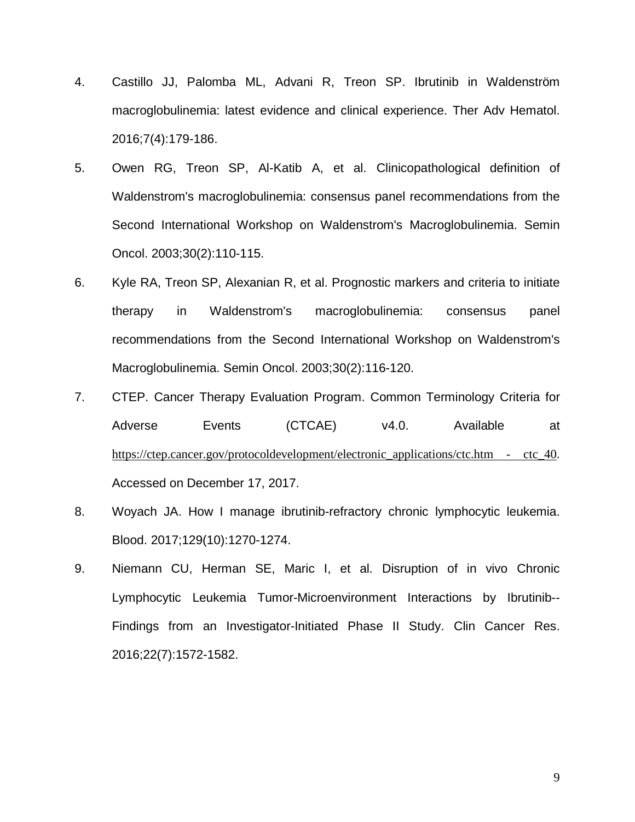- 4. Castillo JJ, Palomba ML, Advani R, Treon SP. Ibrutinib in Waldenström macroglobulinemia: latest evidence and clinical experience. Ther Adv Hematol. 2016;7(4):179-186.
- 5. Owen RG, Treon SP, Al-Katib A, et al. Clinicopathological definition of Waldenstrom's macroglobulinemia: consensus panel recommendations from the Second International Workshop on Waldenstrom's Macroglobulinemia. Semin Oncol. 2003;30(2):110-115.
- 6. Kyle RA, Treon SP, Alexanian R, et al. Prognostic markers and criteria to initiate therapy in Waldenstrom's macroglobulinemia: consensus panel recommendations from the Second International Workshop on Waldenstrom's Macroglobulinemia. Semin Oncol. 2003;30(2):116-120.
- 7. CTEP. Cancer Therapy Evaluation Program. Common Terminology Criteria for Adverse Events (CTCAE) v4.0. Available at https://ctep.cancer.gov/protocoldevelopment/electronic\_applications/ctc.htm - ctc\_40. Accessed on December 17, 2017.
- 8. Woyach JA. How I manage ibrutinib-refractory chronic lymphocytic leukemia. Blood. 2017;129(10):1270-1274.
- 9. Niemann CU, Herman SE, Maric I, et al. Disruption of in vivo Chronic Lymphocytic Leukemia Tumor-Microenvironment Interactions by Ibrutinib-- Findings from an Investigator-Initiated Phase II Study. Clin Cancer Res. 2016;22(7):1572-1582.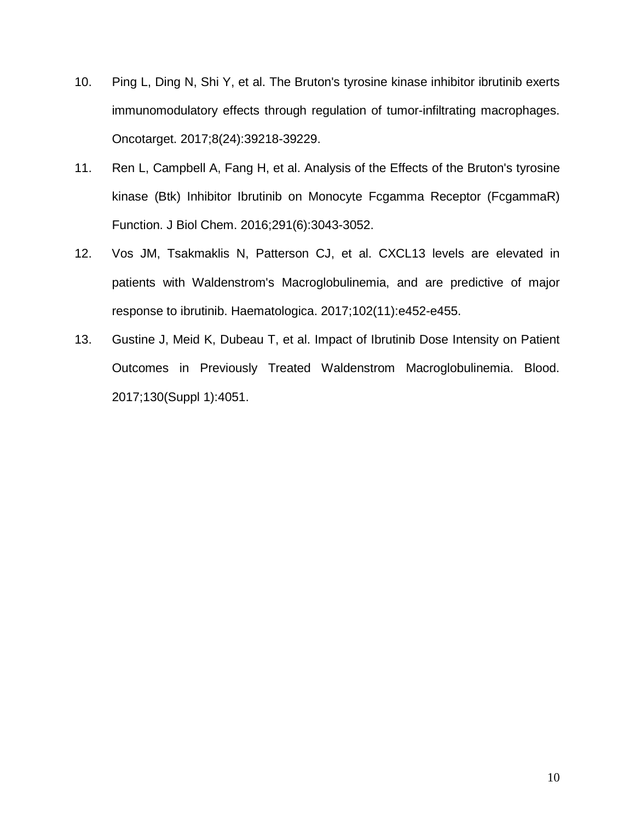- 10. Ping L, Ding N, Shi Y, et al. The Bruton's tyrosine kinase inhibitor ibrutinib exerts immunomodulatory effects through regulation of tumor-infiltrating macrophages. Oncotarget. 2017;8(24):39218-39229.
- 11. Ren L, Campbell A, Fang H, et al. Analysis of the Effects of the Bruton's tyrosine kinase (Btk) Inhibitor Ibrutinib on Monocyte Fcgamma Receptor (FcgammaR) Function. J Biol Chem. 2016;291(6):3043-3052.
- 12. Vos JM, Tsakmaklis N, Patterson CJ, et al. CXCL13 levels are elevated in patients with Waldenstrom's Macroglobulinemia, and are predictive of major response to ibrutinib. Haematologica. 2017;102(11):e452-e455.
- 13. Gustine J, Meid K, Dubeau T, et al. Impact of Ibrutinib Dose Intensity on Patient Outcomes in Previously Treated Waldenstrom Macroglobulinemia. Blood. 2017;130(Suppl 1):4051.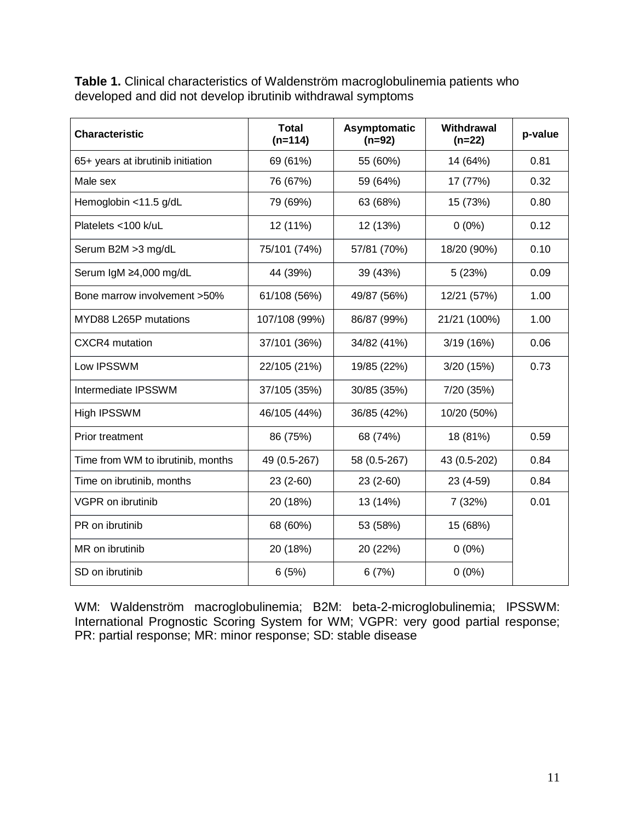**Table 1.** Clinical characteristics of Waldenström macroglobulinemia patients who developed and did not develop ibrutinib withdrawal symptoms

| <b>Characteristic</b>             | <b>Total</b><br>$(n=114)$ | Asymptomatic<br>$(n=92)$ | Withdrawal<br>$(n=22)$ | p-value |
|-----------------------------------|---------------------------|--------------------------|------------------------|---------|
| 65+ years at ibrutinib initiation | 69 (61%)                  | 55 (60%)                 | 14 (64%)               | 0.81    |
| Male sex                          | 76 (67%)                  | 59 (64%)                 | 17 (77%)               | 0.32    |
| Hemoglobin <11.5 g/dL             | 79 (69%)                  | 63 (68%)                 | 15 (73%)               | 0.80    |
| Platelets <100 k/uL               | 12 (11%)                  | 12 (13%)                 | $0(0\%)$               | 0.12    |
| Serum B2M > 3 mg/dL               | 75/101 (74%)              | 57/81 (70%)              | 18/20 (90%)            | 0.10    |
| Serum IgM ≥4,000 mg/dL            | 44 (39%)                  | 39 (43%)                 | 5(23%)                 | 0.09    |
| Bone marrow involvement >50%      | 61/108 (56%)              | 49/87 (56%)              | 12/21 (57%)            | 1.00    |
| MYD88 L265P mutations             | 107/108 (99%)             | 86/87 (99%)              | 21/21 (100%)           | 1.00    |
| <b>CXCR4</b> mutation             | 37/101 (36%)              | 34/82 (41%)              | 3/19(16%)              | 0.06    |
| Low IPSSWM                        | 22/105 (21%)              | 19/85 (22%)              | 3/20(15%)              | 0.73    |
| Intermediate IPSSWM               | 37/105 (35%)              | 30/85 (35%)              | 7/20 (35%)             |         |
| <b>High IPSSWM</b>                | 46/105 (44%)              | 36/85 (42%)              | 10/20 (50%)            |         |
| <b>Prior treatment</b>            | 86 (75%)                  | 68 (74%)                 | 18 (81%)               | 0.59    |
| Time from WM to ibrutinib, months | 49 (0.5-267)              | 58 (0.5-267)             | 43 (0.5-202)           | 0.84    |
| Time on ibrutinib, months         | $23(2-60)$                | $23(2-60)$               | $23(4-59)$             | 0.84    |
| <b>VGPR</b> on ibrutinib          | 20 (18%)                  | 13 (14%)                 | 7(32%)                 | 0.01    |
| PR on ibrutinib                   | 68 (60%)                  | 53 (58%)                 | 15 (68%)               |         |
| MR on ibrutinib                   | 20 (18%)                  | 20 (22%)                 | $0(0\%)$               |         |
| SD on ibrutinib                   | 6(5%)                     | 6(7%)                    | $0(0\%)$               |         |

WM: Waldenström macroglobulinemia; B2M: beta-2-microglobulinemia; IPSSWM: International Prognostic Scoring System for WM; VGPR: very good partial response; PR: partial response; MR: minor response; SD: stable disease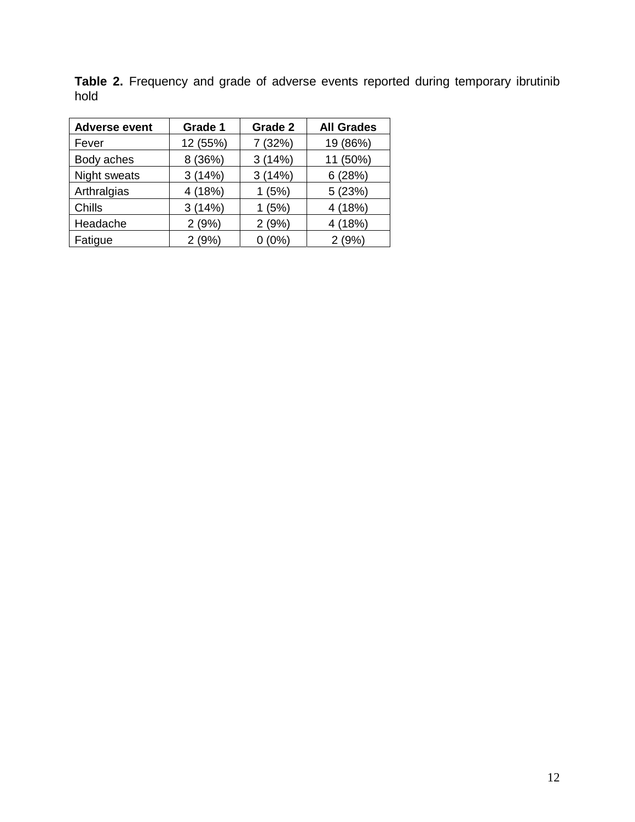| <b>Adverse event</b> | Grade 1  | Grade 2 | <b>All Grades</b> |
|----------------------|----------|---------|-------------------|
| Fever                | 12 (55%) | 7 (32%) | 19 (86%)          |
| Body aches           | 8 (36%)  | 3(14%)  | 11 (50%)          |
| Night sweats         | 3(14%)   | 3(14%)  | 6(28%)            |
| Arthralgias          | 4(18%)   | 1(5%)   | 5(23%)            |
| Chills               | 3(14%)   | 1(5%)   | 4 (18%)           |
| Headache             | 2(9%)    | 2(9%)   | 4 (18%)           |
| Fatigue              | 2(9%)    | (0%)    | 2(9%)             |

**Table 2.** Frequency and grade of adverse events reported during temporary ibrutinib hold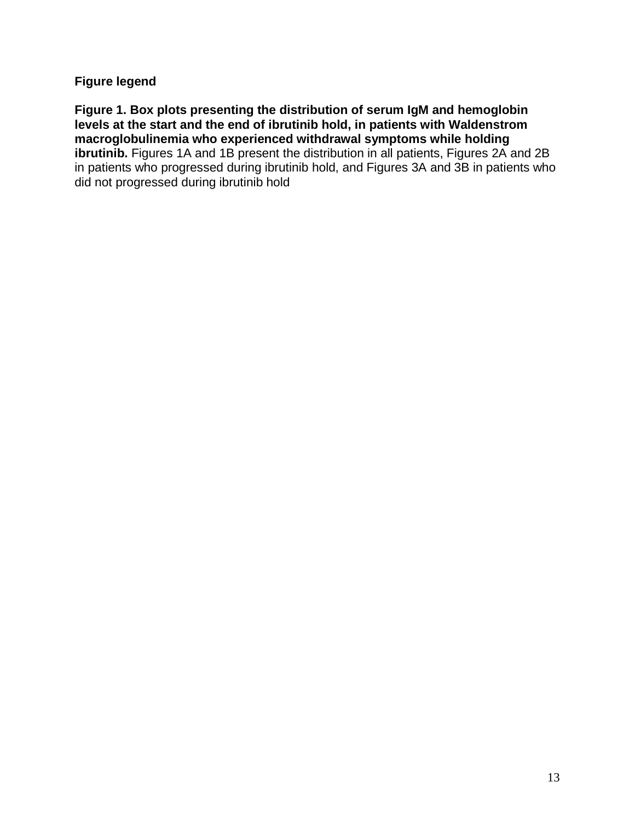# **Figure legend**

**Figure 1. Box plots presenting the distribution of serum IgM and hemoglobin levels at the start and the end of ibrutinib hold, in patients with Waldenstrom macroglobulinemia who experienced withdrawal symptoms while holding ibrutinib.** Figures 1A and 1B present the distribution in all patients, Figures 2A and 2B in patients who progressed during ibrutinib hold, and Figures 3A and 3B in patients who did not progressed during ibrutinib hold